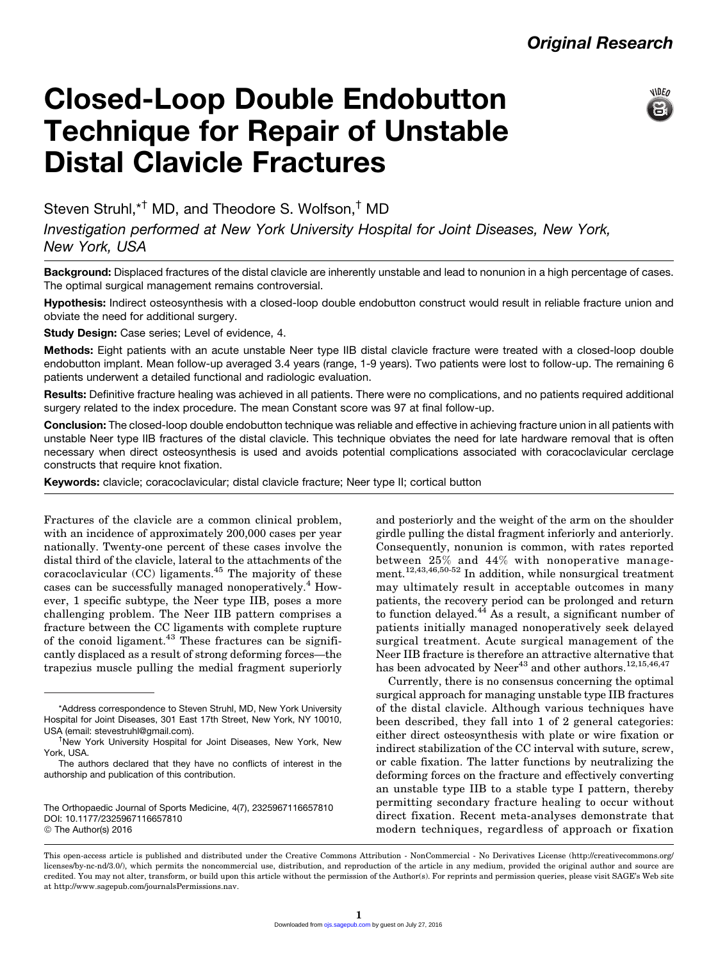

# Closed-Loop Double Endobutton Technique for Repair of Unstable Distal Clavicle Fractures

Steven Struhl,<sup>\*†</sup> MD, and Theodore S. Wolfson,<sup>†</sup> MD

Investigation performed at New York University Hospital for Joint Diseases, New York, New York, USA

Background: Displaced fractures of the distal clavicle are inherently unstable and lead to nonunion in a high percentage of cases. The optimal surgical management remains controversial.

Hypothesis: Indirect osteosynthesis with a closed-loop double endobutton construct would result in reliable fracture union and obviate the need for additional surgery.

Study Design: Case series; Level of evidence, 4.

Methods: Eight patients with an acute unstable Neer type IIB distal clavicle fracture were treated with a closed-loop double endobutton implant. Mean follow-up averaged 3.4 years (range, 1-9 years). Two patients were lost to follow-up. The remaining 6 patients underwent a detailed functional and radiologic evaluation.

Results: Definitive fracture healing was achieved in all patients. There were no complications, and no patients required additional surgery related to the index procedure. The mean Constant score was 97 at final follow-up.

Conclusion: The closed-loop double endobutton technique was reliable and effective in achieving fracture union in all patients with unstable Neer type IIB fractures of the distal clavicle. This technique obviates the need for late hardware removal that is often necessary when direct osteosynthesis is used and avoids potential complications associated with coracoclavicular cerclage constructs that require knot fixation.

Keywords: clavicle; coracoclavicular; distal clavicle fracture; Neer type II; cortical button

Fractures of the clavicle are a common clinical problem, with an incidence of approximately 200,000 cases per year nationally. Twenty-one percent of these cases involve the distal third of the clavicle, lateral to the attachments of the coracoclavicular  $(CC)$  ligaments.<sup>45</sup> The majority of these cases can be successfully managed nonoperatively.<sup>4</sup> However, 1 specific subtype, the Neer type IIB, poses a more challenging problem. The Neer IIB pattern comprises a fracture between the CC ligaments with complete rupture of the conoid ligament. $43$  These fractures can be significantly displaced as a result of strong deforming forces—the trapezius muscle pulling the medial fragment superiorly

The Orthopaedic Journal of Sports Medicine, 4(7), 2325967116657810 DOI: 10.1177/2325967116657810 © The Author(s) 2016

and posteriorly and the weight of the arm on the shoulder girdle pulling the distal fragment inferiorly and anteriorly. Consequently, nonunion is common, with rates reported between 25% and 44% with nonoperative management.<sup>12,43,46,50-52</sup> In addition, while nonsurgical treatment may ultimately result in acceptable outcomes in many patients, the recovery period can be prolonged and return to function delayed.<sup>44</sup> As a result, a significant number of patients initially managed nonoperatively seek delayed surgical treatment. Acute surgical management of the Neer IIB fracture is therefore an attractive alternative that has been advocated by Neer<sup>43</sup> and other authors.<sup>12,15,46,47</sup>

Currently, there is no consensus concerning the optimal surgical approach for managing unstable type IIB fractures of the distal clavicle. Although various techniques have been described, they fall into 1 of 2 general categories: either direct osteosynthesis with plate or wire fixation or indirect stabilization of the CC interval with suture, screw, or cable fixation. The latter functions by neutralizing the deforming forces on the fracture and effectively converting an unstable type IIB to a stable type I pattern, thereby permitting secondary fracture healing to occur without direct fixation. Recent meta-analyses demonstrate that modern techniques, regardless of approach or fixation

<sup>\*</sup>Address correspondence to Steven Struhl, MD, New York University Hospital for Joint Diseases, 301 East 17th Street, New York, NY 10010, USA (email: [stevestruhl@gmail.com](mailto:stevestruhl@gmail.com)). †

<sup>&</sup>lt;sup>†</sup>New York University Hospital for Joint Diseases, New York, New York, USA.

The authors declared that they have no conflicts of interest in the authorship and publication of this contribution.

This open-access article is published and distributed under the Creative Commons Attribution - NonCommercial - No Derivatives License (http://creativecommons.org/ licenses/by-nc-nd/3.0/), which permits the noncommercial use, distribution, and reproduction of the article in any medium, provided the original author and source are credited. You may not alter, transform, or build upon this article without the permission of the Author(s). For reprints and permission queries, please visit SAGE's Web site at http://www.sagepub.com/journalsPermissions.nav.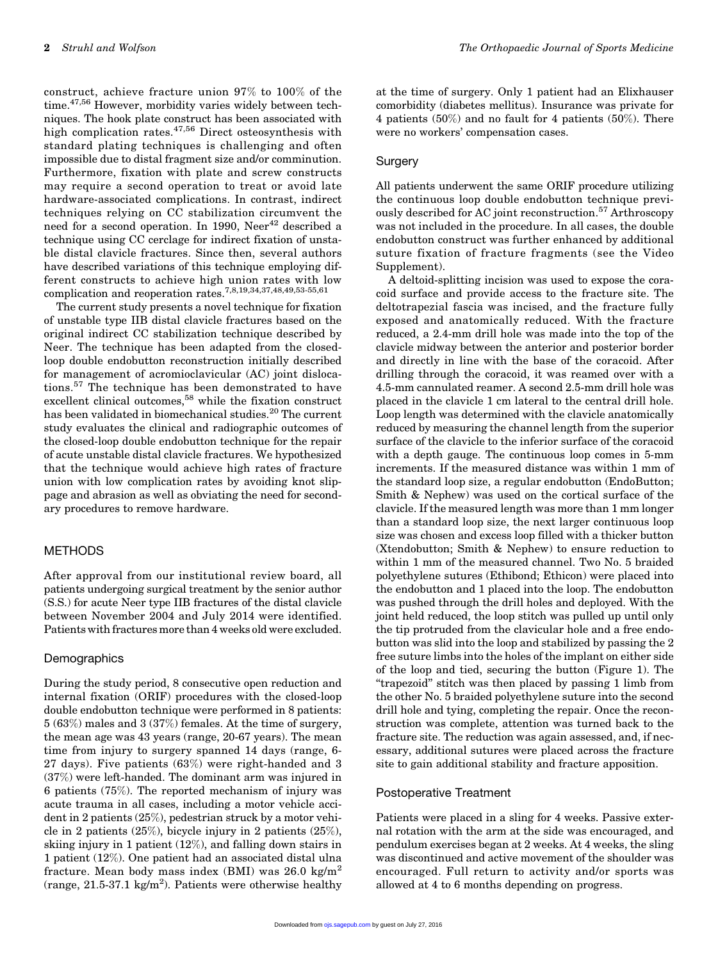construct, achieve fracture union 97% to 100% of the time.<sup>47,56</sup> However, morbidity varies widely between techniques. The hook plate construct has been associated with high complication rates.<sup>47,56</sup> Direct osteosynthesis with standard plating techniques is challenging and often impossible due to distal fragment size and/or comminution. Furthermore, fixation with plate and screw constructs may require a second operation to treat or avoid late hardware-associated complications. In contrast, indirect techniques relying on CC stabilization circumvent the need for a second operation. In 1990,  $\mathrm{Neer}^{42}$  described a technique using CC cerclage for indirect fixation of unstable distal clavicle fractures. Since then, several authors have described variations of this technique employing different constructs to achieve high union rates with low complication and reoperation rates.7,8,19,34,37,48,49,53-55,61

The current study presents a novel technique for fixation of unstable type IIB distal clavicle fractures based on the original indirect CC stabilization technique described by Neer. The technique has been adapted from the closedloop double endobutton reconstruction initially described for management of acromioclavicular (AC) joint dislocations.<sup>57</sup> The technique has been demonstrated to have excellent clinical outcomes,<sup>58</sup> while the fixation construct has been validated in biomechanical studies.<sup>20</sup> The current study evaluates the clinical and radiographic outcomes of the closed-loop double endobutton technique for the repair of acute unstable distal clavicle fractures. We hypothesized that the technique would achieve high rates of fracture union with low complication rates by avoiding knot slippage and abrasion as well as obviating the need for secondary procedures to remove hardware.

### METHODS

After approval from our institutional review board, all patients undergoing surgical treatment by the senior author (S.S.) for acute Neer type IIB fractures of the distal clavicle between November 2004 and July 2014 were identified. Patients with fractures more than 4 weeks old were excluded.

### **Demographics**

During the study period, 8 consecutive open reduction and internal fixation (ORIF) procedures with the closed-loop double endobutton technique were performed in 8 patients: 5 (63%) males and 3 (37%) females. At the time of surgery, the mean age was 43 years (range, 20-67 years). The mean time from injury to surgery spanned 14 days (range, 6- 27 days). Five patients (63%) were right-handed and 3 (37%) were left-handed. The dominant arm was injured in 6 patients (75%). The reported mechanism of injury was acute trauma in all cases, including a motor vehicle accident in 2 patients (25%), pedestrian struck by a motor vehicle in 2 patients (25%), bicycle injury in 2 patients (25%), skiing injury in 1 patient (12%), and falling down stairs in 1 patient (12%). One patient had an associated distal ulna fracture. Mean body mass index (BMI) was  $26.0 \text{ kg/m}^2$  $(range, 21.5-37.1 \text{ kg/m}^2)$ . Patients were otherwise healthy

at the time of surgery. Only 1 patient had an Elixhauser comorbidity (diabetes mellitus). Insurance was private for 4 patients  $(50\%)$  and no fault for 4 patients  $(50\%)$ . There were no workers' compensation cases.

### Surgery

All patients underwent the same ORIF procedure utilizing the continuous loop double endobutton technique previously described for AC joint reconstruction.<sup>57</sup> Arthroscopy was not included in the procedure. In all cases, the double endobutton construct was further enhanced by additional suture fixation of fracture fragments (see the Video Supplement).

A deltoid-splitting incision was used to expose the coracoid surface and provide access to the fracture site. The deltotrapezial fascia was incised, and the fracture fully exposed and anatomically reduced. With the fracture reduced, a 2.4-mm drill hole was made into the top of the clavicle midway between the anterior and posterior border and directly in line with the base of the coracoid. After drilling through the coracoid, it was reamed over with a 4.5-mm cannulated reamer. A second 2.5-mm drill hole was placed in the clavicle 1 cm lateral to the central drill hole. Loop length was determined with the clavicle anatomically reduced by measuring the channel length from the superior surface of the clavicle to the inferior surface of the coracoid with a depth gauge. The continuous loop comes in 5-mm increments. If the measured distance was within 1 mm of the standard loop size, a regular endobutton (EndoButton; Smith & Nephew) was used on the cortical surface of the clavicle. If the measured length was more than 1 mm longer than a standard loop size, the next larger continuous loop size was chosen and excess loop filled with a thicker button (Xtendobutton; Smith & Nephew) to ensure reduction to within 1 mm of the measured channel. Two No. 5 braided polyethylene sutures (Ethibond; Ethicon) were placed into the endobutton and 1 placed into the loop. The endobutton was pushed through the drill holes and deployed. With the joint held reduced, the loop stitch was pulled up until only the tip protruded from the clavicular hole and a free endobutton was slid into the loop and stabilized by passing the 2 free suture limbs into the holes of the implant on either side of the loop and tied, securing the button (Figure 1). The ''trapezoid'' stitch was then placed by passing 1 limb from the other No. 5 braided polyethylene suture into the second drill hole and tying, completing the repair. Once the reconstruction was complete, attention was turned back to the fracture site. The reduction was again assessed, and, if necessary, additional sutures were placed across the fracture site to gain additional stability and fracture apposition.

## Postoperative Treatment

Patients were placed in a sling for 4 weeks. Passive external rotation with the arm at the side was encouraged, and pendulum exercises began at 2 weeks. At 4 weeks, the sling was discontinued and active movement of the shoulder was encouraged. Full return to activity and/or sports was allowed at 4 to 6 months depending on progress.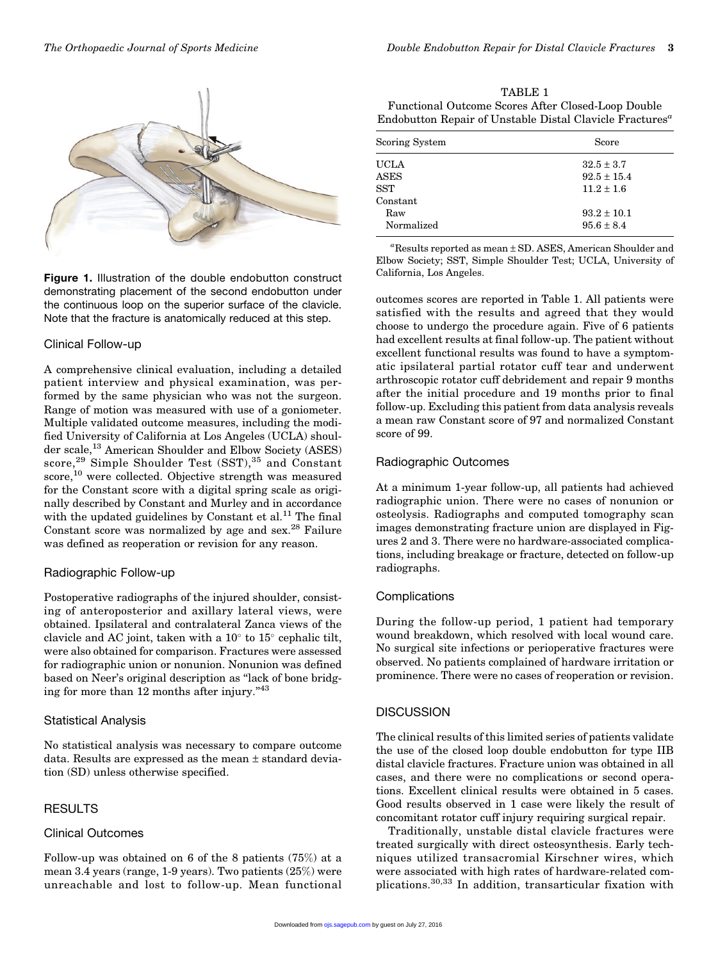

Figure 1. Illustration of the double endobutton construct demonstrating placement of the second endobutton under the continuous loop on the superior surface of the clavicle. Note that the fracture is anatomically reduced at this step.

## Clinical Follow-up

A comprehensive clinical evaluation, including a detailed patient interview and physical examination, was performed by the same physician who was not the surgeon. Range of motion was measured with use of a goniometer. Multiple validated outcome measures, including the modified University of California at Los Angeles (UCLA) shoulder scale,<sup>13</sup> American Shoulder and Elbow Society (ASES) score, $^{29}$  Simple Shoulder Test (SST), $^{35}$  and Constant score,<sup>10</sup> were collected. Objective strength was measured for the Constant score with a digital spring scale as originally described by Constant and Murley and in accordance with the updated guidelines by Constant et al. $^{11}$  The final Constant score was normalized by age and sex.<sup>28</sup> Failure was defined as reoperation or revision for any reason.

## Radiographic Follow-up

Postoperative radiographs of the injured shoulder, consisting of anteroposterior and axillary lateral views, were obtained. Ipsilateral and contralateral Zanca views of the clavicle and AC joint, taken with a  $10^{\circ}$  to  $15^{\circ}$  cephalic tilt, were also obtained for comparison. Fractures were assessed for radiographic union or nonunion. Nonunion was defined based on Neer's original description as ''lack of bone bridging for more than 12 months after injury."<sup>43</sup>

## Statistical Analysis

No statistical analysis was necessary to compare outcome data. Results are expressed as the mean ± standard deviation (SD) unless otherwise specified.

# RESULTS

## Clinical Outcomes

Follow-up was obtained on 6 of the 8 patients (75%) at a mean 3.4 years (range, 1-9 years). Two patients (25%) were unreachable and lost to follow-up. Mean functional

TABLE 1 Functional Outcome Scores After Closed-Loop Double Endobutton Repair of Unstable Distal Clavicle Fractures<sup> $a$ </sup>

| Scoring System | Score           |
|----------------|-----------------|
| UCLA           | $32.5 \pm 3.7$  |
| <b>ASES</b>    | $92.5 \pm 15.4$ |
| <b>SST</b>     | $11.2 \pm 1.6$  |
| Constant       |                 |
| Raw            | $93.2 \pm 10.1$ |
| Normalized     | $95.6 \pm 8.4$  |

a Results reported as mean ± SD. ASES, American Shoulder and Elbow Society; SST, Simple Shoulder Test; UCLA, University of California, Los Angeles.

outcomes scores are reported in Table 1. All patients were satisfied with the results and agreed that they would choose to undergo the procedure again. Five of 6 patients had excellent results at final follow-up. The patient without excellent functional results was found to have a symptomatic ipsilateral partial rotator cuff tear and underwent arthroscopic rotator cuff debridement and repair 9 months after the initial procedure and 19 months prior to final follow-up. Excluding this patient from data analysis reveals a mean raw Constant score of 97 and normalized Constant score of 99.

# Radiographic Outcomes

At a minimum 1-year follow-up, all patients had achieved radiographic union. There were no cases of nonunion or osteolysis. Radiographs and computed tomography scan images demonstrating fracture union are displayed in Figures 2 and 3. There were no hardware-associated complications, including breakage or fracture, detected on follow-up radiographs.

# Complications

During the follow-up period, 1 patient had temporary wound breakdown, which resolved with local wound care. No surgical site infections or perioperative fractures were observed. No patients complained of hardware irritation or prominence. There were no cases of reoperation or revision.

# **DISCUSSION**

The clinical results of this limited series of patients validate the use of the closed loop double endobutton for type IIB distal clavicle fractures. Fracture union was obtained in all cases, and there were no complications or second operations. Excellent clinical results were obtained in 5 cases. Good results observed in 1 case were likely the result of concomitant rotator cuff injury requiring surgical repair.

Traditionally, unstable distal clavicle fractures were treated surgically with direct osteosynthesis. Early techniques utilized transacromial Kirschner wires, which were associated with high rates of hardware-related complications.30,33 In addition, transarticular fixation with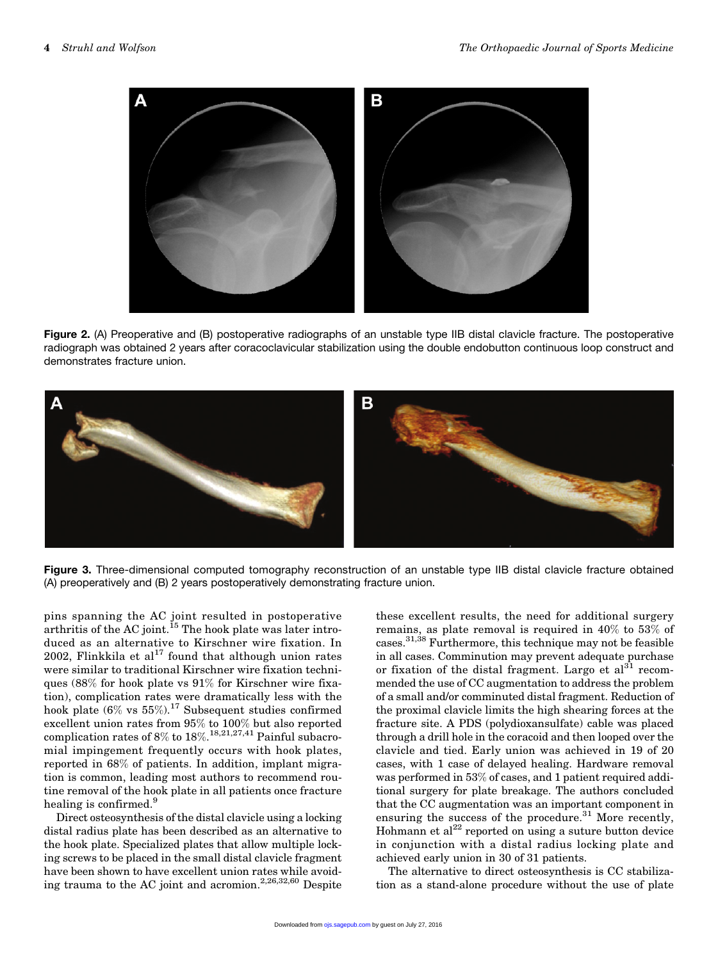

Figure 2. (A) Preoperative and (B) postoperative radiographs of an unstable type IIB distal clavicle fracture. The postoperative radiograph was obtained 2 years after coracoclavicular stabilization using the double endobutton continuous loop construct and demonstrates fracture union.



Figure 3. Three-dimensional computed tomography reconstruction of an unstable type IIB distal clavicle fracture obtained (A) preoperatively and (B) 2 years postoperatively demonstrating fracture union.

pins spanning the AC joint resulted in postoperative arthritis of the AC joint.<sup>15</sup> The hook plate was later introduced as an alternative to Kirschner wire fixation. In 2002, Flinkkila et al<sup>17</sup> found that although union rates were similar to traditional Kirschner wire fixation techniques (88% for hook plate vs 91% for Kirschner wire fixation), complication rates were dramatically less with the hook plate (6% vs  $55\%$ ).<sup>17</sup> Subsequent studies confirmed excellent union rates from 95% to 100% but also reported complication rates of  $8\%$  to  $18\%.$ <sup>18,21,27,41</sup> Painful subacromial impingement frequently occurs with hook plates, reported in 68% of patients. In addition, implant migration is common, leading most authors to recommend routine removal of the hook plate in all patients once fracture healing is confirmed.<sup>9</sup>

Direct osteosynthesis of the distal clavicle using a locking distal radius plate has been described as an alternative to the hook plate. Specialized plates that allow multiple locking screws to be placed in the small distal clavicle fragment have been shown to have excellent union rates while avoiding trauma to the AC joint and acromion.2,26,32,60 Despite these excellent results, the need for additional surgery remains, as plate removal is required in 40% to 53% of cases.31,38 Furthermore, this technique may not be feasible in all cases. Comminution may prevent adequate purchase or fixation of the distal fragment. Largo et  $al<sup>31</sup>$  recommended the use of CC augmentation to address the problem of a small and/or comminuted distal fragment. Reduction of the proximal clavicle limits the high shearing forces at the fracture site. A PDS (polydioxansulfate) cable was placed through a drill hole in the coracoid and then looped over the clavicle and tied. Early union was achieved in 19 of 20 cases, with 1 case of delayed healing. Hardware removal was performed in 53% of cases, and 1 patient required additional surgery for plate breakage. The authors concluded that the CC augmentation was an important component in ensuring the success of the procedure. $31$  More recently, Hohmann et al $^{22}$  reported on using a suture button device in conjunction with a distal radius locking plate and achieved early union in 30 of 31 patients.

The alternative to direct osteosynthesis is CC stabilization as a stand-alone procedure without the use of plate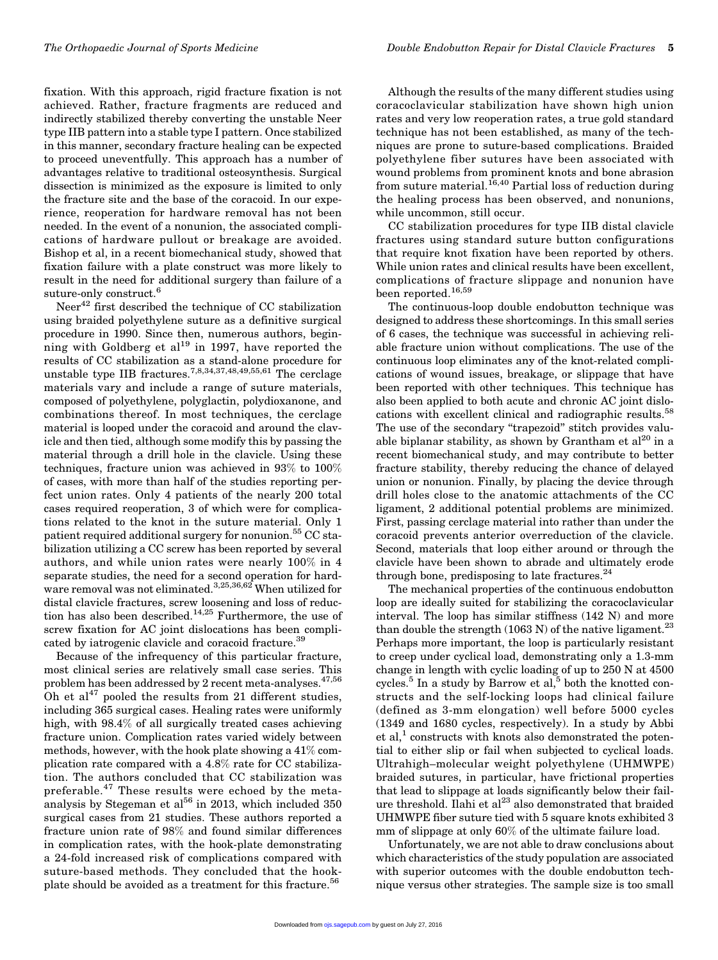fixation. With this approach, rigid fracture fixation is not achieved. Rather, fracture fragments are reduced and indirectly stabilized thereby converting the unstable Neer type IIB pattern into a stable type I pattern. Once stabilized in this manner, secondary fracture healing can be expected to proceed uneventfully. This approach has a number of advantages relative to traditional osteosynthesis. Surgical dissection is minimized as the exposure is limited to only the fracture site and the base of the coracoid. In our experience, reoperation for hardware removal has not been needed. In the event of a nonunion, the associated complications of hardware pullout or breakage are avoided. Bishop et al, in a recent biomechanical study, showed that fixation failure with a plate construct was more likely to result in the need for additional surgery than failure of a suture-only construct.<sup>6</sup>

Neer<sup>42</sup> first described the technique of CC stabilization using braided polyethylene suture as a definitive surgical procedure in 1990. Since then, numerous authors, beginning with Goldberg et al<sup>19</sup> in 1997, have reported the results of CC stabilization as a stand-alone procedure for unstable type IIB fractures.<sup>7,8,34,37,48,49,55,61</sup> The cerclage materials vary and include a range of suture materials, composed of polyethylene, polyglactin, polydioxanone, and combinations thereof. In most techniques, the cerclage material is looped under the coracoid and around the clavicle and then tied, although some modify this by passing the material through a drill hole in the clavicle. Using these techniques, fracture union was achieved in 93% to 100% of cases, with more than half of the studies reporting perfect union rates. Only 4 patients of the nearly 200 total cases required reoperation, 3 of which were for complications related to the knot in the suture material. Only 1 patient required additional surgery for nonunion.<sup>55</sup> CC stabilization utilizing a CC screw has been reported by several authors, and while union rates were nearly 100% in 4 separate studies, the need for a second operation for hardware removal was not eliminated.<sup>3,25,36,62</sup> When utilized for distal clavicle fractures, screw loosening and loss of reduction has also been described.<sup>14,25</sup> Furthermore, the use of screw fixation for AC joint dislocations has been complicated by iatrogenic clavicle and coracoid fracture.<sup>39</sup>

Because of the infrequency of this particular fracture, most clinical series are relatively small case series. This problem has been addressed by 2 recent meta-analyses.<sup>47,56</sup> Oh et al $^{47}$  pooled the results from 21 different studies, including 365 surgical cases. Healing rates were uniformly high, with 98.4% of all surgically treated cases achieving fracture union. Complication rates varied widely between methods, however, with the hook plate showing a 41% complication rate compared with a 4.8% rate for CC stabilization. The authors concluded that CC stabilization was preferable.<sup>47</sup> These results were echoed by the metaanalysis by Stegeman et al $^{56}$  in 2013, which included 350 surgical cases from 21 studies. These authors reported a fracture union rate of 98% and found similar differences in complication rates, with the hook-plate demonstrating a 24-fold increased risk of complications compared with suture-based methods. They concluded that the hookplate should be avoided as a treatment for this fracture.<sup>56</sup>

Although the results of the many different studies using coracoclavicular stabilization have shown high union rates and very low reoperation rates, a true gold standard technique has not been established, as many of the techniques are prone to suture-based complications. Braided polyethylene fiber sutures have been associated with wound problems from prominent knots and bone abrasion from suture material.16,40 Partial loss of reduction during the healing process has been observed, and nonunions, while uncommon, still occur.

CC stabilization procedures for type IIB distal clavicle fractures using standard suture button configurations that require knot fixation have been reported by others. While union rates and clinical results have been excellent, complications of fracture slippage and nonunion have been reported.<sup>16,59</sup>

The continuous-loop double endobutton technique was designed to address these shortcomings. In this small series of 6 cases, the technique was successful in achieving reliable fracture union without complications. The use of the continuous loop eliminates any of the knot-related complications of wound issues, breakage, or slippage that have been reported with other techniques. This technique has also been applied to both acute and chronic AC joint dislocations with excellent clinical and radiographic results.<sup>58</sup> The use of the secondary "trapezoid" stitch provides valuable biplanar stability, as shown by Grantham et  $al^{20}$  in a recent biomechanical study, and may contribute to better fracture stability, thereby reducing the chance of delayed union or nonunion. Finally, by placing the device through drill holes close to the anatomic attachments of the CC ligament, 2 additional potential problems are minimized. First, passing cerclage material into rather than under the coracoid prevents anterior overreduction of the clavicle. Second, materials that loop either around or through the clavicle have been shown to abrade and ultimately erode through bone, predisposing to late fractures. $^{24}$ 

The mechanical properties of the continuous endobutton loop are ideally suited for stabilizing the coracoclavicular interval. The loop has similar stiffness (142 N) and more than double the strength (1063 N) of the native ligament.<sup>23</sup> Perhaps more important, the loop is particularly resistant to creep under cyclical load, demonstrating only a 1.3-mm change in length with cyclic loading of up to 250 N at 4500 cycles.<sup>5</sup> In a study by Barrow et al,<sup>5</sup> both the knotted constructs and the self-locking loops had clinical failure (defined as 3-mm elongation) well before 5000 cycles (1349 and 1680 cycles, respectively). In a study by Abbi  $et al<sup>1</sup> constructs with knots also demonstrated the poten$ tial to either slip or fail when subjected to cyclical loads. Ultrahigh–molecular weight polyethylene (UHMWPE) braided sutures, in particular, have frictional properties that lead to slippage at loads significantly below their failure threshold. Ilahi et al<sup>23</sup> also demonstrated that braided UHMWPE fiber suture tied with 5 square knots exhibited 3 mm of slippage at only 60% of the ultimate failure load.

Unfortunately, we are not able to draw conclusions about which characteristics of the study population are associated with superior outcomes with the double endobutton technique versus other strategies. The sample size is too small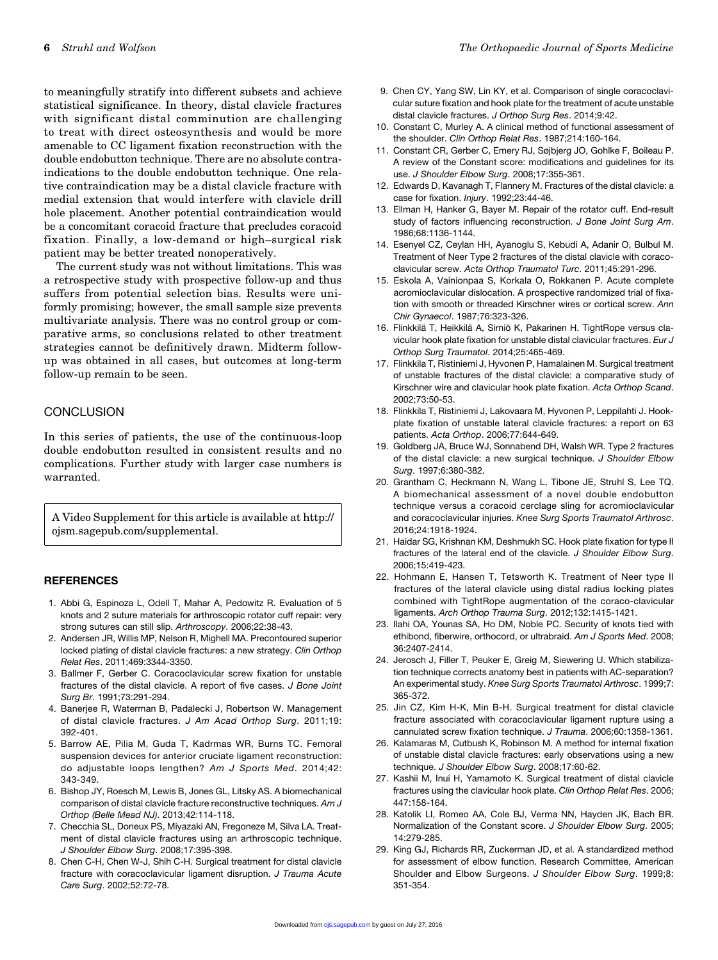to meaningfully stratify into different subsets and achieve statistical significance. In theory, distal clavicle fractures with significant distal comminution are challenging to treat with direct osteosynthesis and would be more amenable to CC ligament fixation reconstruction with the double endobutton technique. There are no absolute contraindications to the double endobutton technique. One relative contraindication may be a distal clavicle fracture with medial extension that would interfere with clavicle drill hole placement. Another potential contraindication would be a concomitant coracoid fracture that precludes coracoid fixation. Finally, a low-demand or high–surgical risk patient may be better treated nonoperatively.

The current study was not without limitations. This was a retrospective study with prospective follow-up and thus suffers from potential selection bias. Results were uniformly promising; however, the small sample size prevents multivariate analysis. There was no control group or comparative arms, so conclusions related to other treatment strategies cannot be definitively drawn. Midterm followup was obtained in all cases, but outcomes at long-term follow-up remain to be seen.

### **CONCLUSION**

In this series of patients, the use of the continuous-loop double endobutton resulted in consistent results and no complications. Further study with larger case numbers is warranted.

A Video Supplement for this article is available at [http://](http://ojsm.sagepub.com/supplemental) [ojsm.sagepub.com/supplemental.](http://ojsm.sagepub.com/supplemental)

#### **REFERENCES**

- 1. Abbi G, Espinoza L, Odell T, Mahar A, Pedowitz R. Evaluation of 5 knots and 2 suture materials for arthroscopic rotator cuff repair: very strong sutures can still slip. Arthroscopy. 2006;22:38-43.
- 2. Andersen JR, Willis MP, Nelson R, Mighell MA. Precontoured superior locked plating of distal clavicle fractures: a new strategy. Clin Orthop Relat Res. 2011;469:3344-3350.
- 3. Ballmer F, Gerber C. Coracoclavicular screw fixation for unstable fractures of the distal clavicle. A report of five cases. J Bone Joint Surg Br. 1991;73:291-294.
- 4. Banerjee R, Waterman B, Padalecki J, Robertson W. Management of distal clavicle fractures. J Am Acad Orthop Surg. 2011;19: 392-401.
- 5. Barrow AE, Pilia M, Guda T, Kadrmas WR, Burns TC. Femoral suspension devices for anterior cruciate ligament reconstruction: do adjustable loops lengthen? Am J Sports Med. 2014;42: 343-349.
- 6. Bishop JY, Roesch M, Lewis B, Jones GL, Litsky AS. A biomechanical comparison of distal clavicle fracture reconstructive techniques. Am J Orthop (Belle Mead NJ). 2013;42:114-118.
- 7. Checchia SL, Doneux PS, Miyazaki AN, Fregoneze M, Silva LA. Treatment of distal clavicle fractures using an arthroscopic technique. J Shoulder Elbow Surg. 2008;17:395-398.
- 8. Chen C-H, Chen W-J, Shih C-H. Surgical treatment for distal clavicle fracture with coracoclavicular ligament disruption. J Trauma Acute Care Surg. 2002;52:72-78.
- 9. Chen CY, Yang SW, Lin KY, et al. Comparison of single coracoclavicular suture fixation and hook plate for the treatment of acute unstable distal clavicle fractures. J Orthop Surg Res. 2014;9:42.
- 10. Constant C, Murley A. A clinical method of functional assessment of the shoulder. Clin Orthop Relat Res. 1987;214:160-164.
- 11. Constant CR, Gerber C, Emery RJ, Søjbjerg JO, Gohlke F, Boileau P. A review of the Constant score: modifications and guidelines for its use. J Shoulder Elbow Surg. 2008;17:355-361.
- 12. Edwards D, Kavanagh T, Flannery M. Fractures of the distal clavicle: a case for fixation. Injury. 1992;23:44-46.
- 13. Ellman H, Hanker G, Bayer M. Repair of the rotator cuff. End-result study of factors influencing reconstruction. J Bone Joint Surg Am. 1986;68:1136-1144.
- 14. Esenyel CZ, Ceylan HH, Ayanoglu S, Kebudi A, Adanir O, Bulbul M. Treatment of Neer Type 2 fractures of the distal clavicle with coracoclavicular screw. Acta Orthop Traumatol Turc. 2011;45:291-296.
- 15. Eskola A, Vainionpaa S, Korkala O, Rokkanen P. Acute complete acromioclavicular dislocation. A prospective randomized trial of fixation with smooth or threaded Kirschner wires or cortical screw. Ann Chir Gynaecol. 1987;76:323-326.
- 16. Flinkkilä T, Heikkilä A, Sirniö K, Pakarinen H. TightRope versus clavicular hook plate fixation for unstable distal clavicular fractures. Eur J Orthop Surg Traumatol. 2014;25:465-469.
- 17. Flinkkila T, Ristiniemi J, Hyvonen P, Hamalainen M. Surgical treatment of unstable fractures of the distal clavicle: a comparative study of Kirschner wire and clavicular hook plate fixation. Acta Orthop Scand. 2002;73:50-53.
- 18. Flinkkila T, Ristiniemi J, Lakovaara M, Hyvonen P, Leppilahti J. Hookplate fixation of unstable lateral clavicle fractures: a report on 63 patients. Acta Orthop. 2006;77:644-649.
- 19. Goldberg JA, Bruce WJ, Sonnabend DH, Walsh WR. Type 2 fractures of the distal clavicle: a new surgical technique. J Shoulder Elbow Surg. 1997;6:380-382.
- 20. Grantham C, Heckmann N, Wang L, Tibone JE, Struhl S, Lee TQ. A biomechanical assessment of a novel double endobutton technique versus a coracoid cerclage sling for acromioclavicular and coracoclavicular injuries. Knee Surg Sports Traumatol Arthrosc. 2016;24:1918-1924.
- 21. Haidar SG, Krishnan KM, Deshmukh SC. Hook plate fixation for type II fractures of the lateral end of the clavicle. J Shoulder Elbow Surg. 2006;15:419-423.
- 22. Hohmann E, Hansen T, Tetsworth K. Treatment of Neer type II fractures of the lateral clavicle using distal radius locking plates combined with TightRope augmentation of the coraco-clavicular ligaments. Arch Orthop Trauma Surg. 2012;132:1415-1421.
- 23. Ilahi OA, Younas SA, Ho DM, Noble PC. Security of knots tied with ethibond, fiberwire, orthocord, or ultrabraid. Am J Sports Med. 2008; 36:2407-2414.
- 24. Jerosch J, Filler T, Peuker E, Greig M, Siewering U. Which stabilization technique corrects anatomy best in patients with AC-separation? An experimental study. Knee Surg Sports Traumatol Arthrosc. 1999;7: 365-372.
- 25. Jin CZ, Kim H-K, Min B-H. Surgical treatment for distal clavicle fracture associated with coracoclavicular ligament rupture using a cannulated screw fixation technique. J Trauma. 2006;60:1358-1361.
- 26. Kalamaras M, Cutbush K, Robinson M. A method for internal fixation of unstable distal clavicle fractures: early observations using a new technique. J Shoulder Elbow Surg. 2008;17:60-62.
- 27. Kashii M, Inui H, Yamamoto K. Surgical treatment of distal clavicle fractures using the clavicular hook plate. Clin Orthop Relat Res. 2006; 447:158-164.
- 28. Katolik LI, Romeo AA, Cole BJ, Verma NN, Hayden JK, Bach BR. Normalization of the Constant score. J Shoulder Elbow Surg. 2005; 14:279-285.
- 29. King GJ, Richards RR, Zuckerman JD, et al. A standardized method for assessment of elbow function. Research Committee, American Shoulder and Elbow Surgeons. J Shoulder Elbow Surg. 1999;8: 351-354.